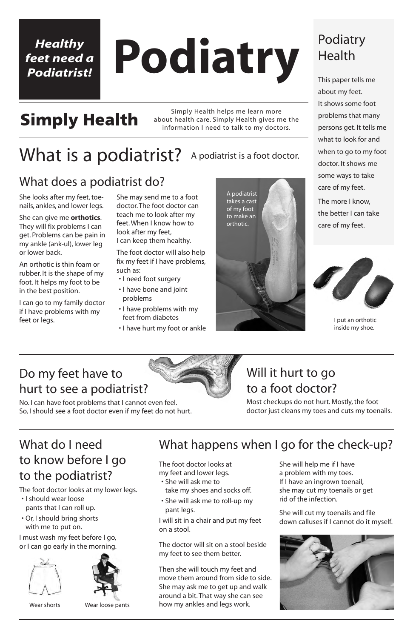# **Podiatry**

# **Simply Health**

Simply Health helps me learn more about health care. Simply Health gives me the information I need to talk to my doctors.

### Podiatry Health

This paper tells me about my feet. It shows some foot problems that many persons get. It tells me what to look for and when to go to my foot doctor. It shows me some ways to take care of my feet.

The more I know, the better I can take care of my feet.

#### *Healthy feet need a Podiatrist!*

#### Do my feet have to hurt to see a podiatrist?

#### What is a podiatrist? A podiatrist is a foot doctor.

No. I can have foot problems that I cannot even feel. So, I should see a foot doctor even if my feet do not hurt.

### What does a podiatrist do?





I put an orthotic inside my shoe.

## What do I need to know before I go

## What happens when I go for the check-up?

#### to the podiatrist?

The foot doctor looks at my lower legs.

- I should wear loose pants that I can roll up.
- Or, I should bring shorts with me to put on.

I must wash my feet before I go, or I can go early in the morning.





Wear shorts Wear loose pants

She looks after my feet, toenails, ankles, and lower legs.

She can give me **orthotics**. They will fix problems I can get. Problems can be pain in my ankle (ank-ul), lower leg or lower back.

An orthotic is thin foam or rubber. It is the shape of my foot. It helps my foot to be in the best position.

I can go to my family doctor if I have problems with my feet or legs.

She may send me to a foot doctor. The foot doctor can teach me to look after my feet. When I know how to look after my feet, I can keep them healthy.

The foot doctor will also help fix my feet if I have problems, such as:

- I need foot surgery
- I have bone and joint problems
- I have problems with my feet from diabetes
- I have hurt my foot or ankle

The foot doctor looks at

my feet and lower legs.

- She will ask me to take my shoes and socks off.
- She will ask me to roll-up my pant legs.
- I will sit in a chair and put my feet on a stool.

The doctor will sit on a stool beside my feet to see them better.

Then she will touch my feet and move them around from side to side. She may ask me to get up and walk around a bit. That way she can see how my ankles and legs work.

She will help me if I have

a problem with my toes. If I have an ingrown toenail, she may cut my toenails or get rid of the infection.

She will cut my toenails and file down calluses if I cannot do it myself.



### Will it hurt to go to a foot doctor?

Most checkups do not hurt. Mostly, the foot doctor just cleans my toes and cuts my toenails.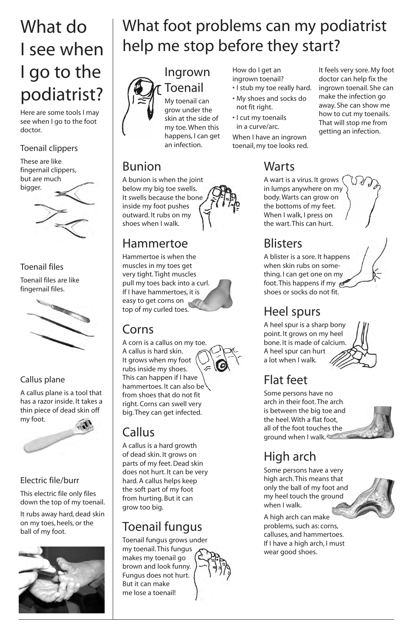# What foot problems can my podiatrist help me stop before they start?

#### Ingrown Toenail

My toenail can grow under the skin at the side of my toe. When this happens, I can get an infection.

#### Bunion

A bunion is when the joint below my big toe swells. It swells because the bone inside my foot pushes outward. It rubs on my shoes when I walk.

#### Hammertoe

Hammertoe is when the muscles in my toes get very tight. Tight muscles pull my toes back into a curl. If I have hammertoes, it is easy to get corns on top of my curled toes.

### Corns

A corn is a callus on my toe. A callus is hard skin. It grows when my foot rubs inside my shoes. This can happen if I have hammertoes. It can also be from shoes that do not fit right. Corns can swell very big. They can get infected.

### Callus

A callus is a hard growth of dead skin. It grows on parts of my feet. Dead skin

does not hurt. It can be very hard. A callus helps keep the soft part of my foot from hurting. But it can grow too big.

#### Toenail fungus

Toenail fungus grows under my toenail. This fungus makes my toenail go brown and look funny. Fungus does not hurt. But it can make me lose a toenail!



# What do I see when I go to the podiatrist?

Here are some tools I may see when I go to the foot doctor.

#### Toenail clippers

These are like fingernail clippers, but are much bigger.

#### Toenail files

Toenail files are like fingernail files.



#### Callus plane

A callus plane is a tool that has a razor inside. It takes a thin piece of dead skin off my foot.



#### Electric file/burr

This electric file only files down the top of my toenail.

It rubs away hard, dead skin on my toes, heels, or the ball of my foot.



How do I get an ingrown toenail?

- I stub my toe really hard.
- My shoes and socks do not fit right.
- I cut my toenails in a curve/arc.

When I have an ingrown toenail, my toe looks red.

It feels very sore. My foot doctor can help fix the ingrown toenail. She can make the infection go away. She can show me how to cut my toenails. That will stop me from getting an infection.

## **Warts**

A wart is a virus. It grows in lumps anywhere on my body. Warts can grow on the bottoms of my feet. When I walk, I press on the wart. This can hurt.

## **Blisters**

A blister is a sore. It happens when skin rubs on something. I can get one on my foot. This happens if my shoes or socks do not fit.

## Heel spurs

A heel spur is a sharp bony point. It grows on my heel bone. It is made of calcium. A heel spur can hurt a lot when I walk.



## Flat feet

Some persons have no arch in their foot. The arch is between the big toe and the heel. With a flat foot, all of the foot touches the ground when I walk.

### High arch

Some persons have a very high arch. This means that only the ball of my foot and my heel touch the ground when I walk.

A high arch can make problems, such as: corns, calluses, and hammertoes. If I have a high arch, I must wear good shoes.

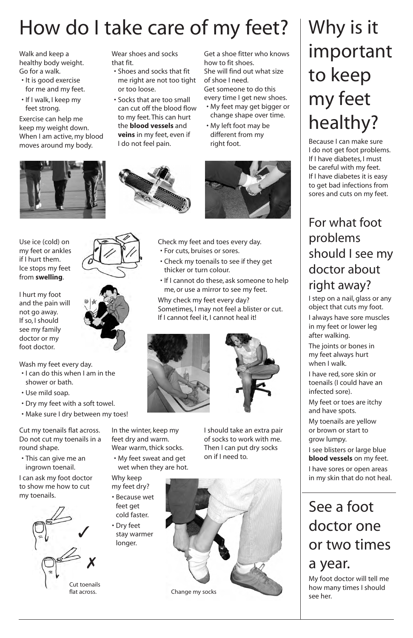# Why is it important to keep my feet healthy?

Because I can make sure I do not get foot problems. If I have diabetes, I must be careful with my feet. If I have diabetes it is easy to get bad infections from sores and cuts on my feet.

#### For what foot problems should I see my doctor about right away?

I step on a nail, glass or any object that cuts my foot.

I always have sore muscles in my feet or lower leg after walking.

The joints or bones in my feet always hurt when I walk.

I have red, sore skin or toenails (I could have an infected sore).

My feet or toes are itchy and have spots.

My toenails are yellow or brown or start to grow lumpy.

I see blisters or large blue **blood vessels** on my feet.



I have sores or open areas in my skin that do not heal.

# How do I take care of my feet?

Walk and keep a healthy body weight. Go for a walk.

- It is good exercise for me and my feet.
- If I walk, I keep my feet strong.

Exercise can help me keep my weight down. When I am active, my blood moves around my body.



Wear shoes and socks that fit.

- Shoes and socks that fit me right are not too tight or too loose.
- Socks that are too small can cut off the blood flow to my feet. This can hurt the **blood vessels** and **veins** in my feet, even if I do not feel pain.

Get a shoe fitter who knows how to fit shoes. She will find out what size of shoe I need. Get someone to do this every time I get new shoes.

- My feet may get bigger or change shape over time.
- My left foot may be different from my right foot.



Use ice (cold) on my feet or ankles if I hurt them. Ice stops my feet from **swelling**.

I hurt my foot and the pain will not go away. If so, I should see my family doctor or my foot doctor.





Wash my feet every day.

- I can do this when I am in the shower or bath.
- Use mild soap.
- Dry my feet with a soft towel.
- Make sure I dry between my toes!



- For cuts, bruises or sores.
- Check my toenails to see if they get thicker or turn colour.
- If I cannot do these, ask someone to help me, or use a mirror to see my feet.

Why check my feet every day? Sometimes, I may not feel a blister or cut. If I cannot feel it, I cannot heal it!





# See a foot doctor one or two times

#### a year.

My foot doctor will tell me how many times I should see her.

Cut my toenails flat across. Do not cut my toenails in a round shape.

• This can give me an ingrown toenail.

I can ask my foot doctor to show me how to cut my toenails.

In the winter, keep my feet dry and warm. Wear warm, thick socks.

• My feet sweat and get wet when they are hot.

longer.



I should take an extra pair of socks to work with me. Then I can put dry socks on if I need to.